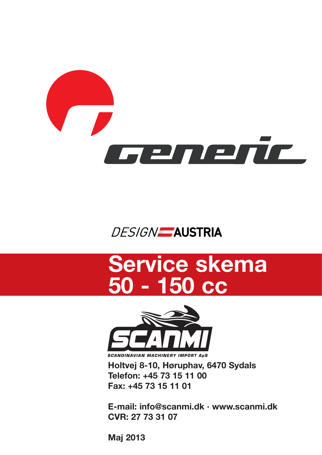

## **DESIGN** AUSTRIA

## **Service skema 50 - 150 cc**



**Holtvej 8-10, Høruphav, 6470 Sydals Telefon: +45 73 15 11 00 Fax: +45 73 15 11 01**

**E-mail: info@scanmi.dk · www.scanmi.dk CVR: 27 73 31 07**

**Maj 2013**